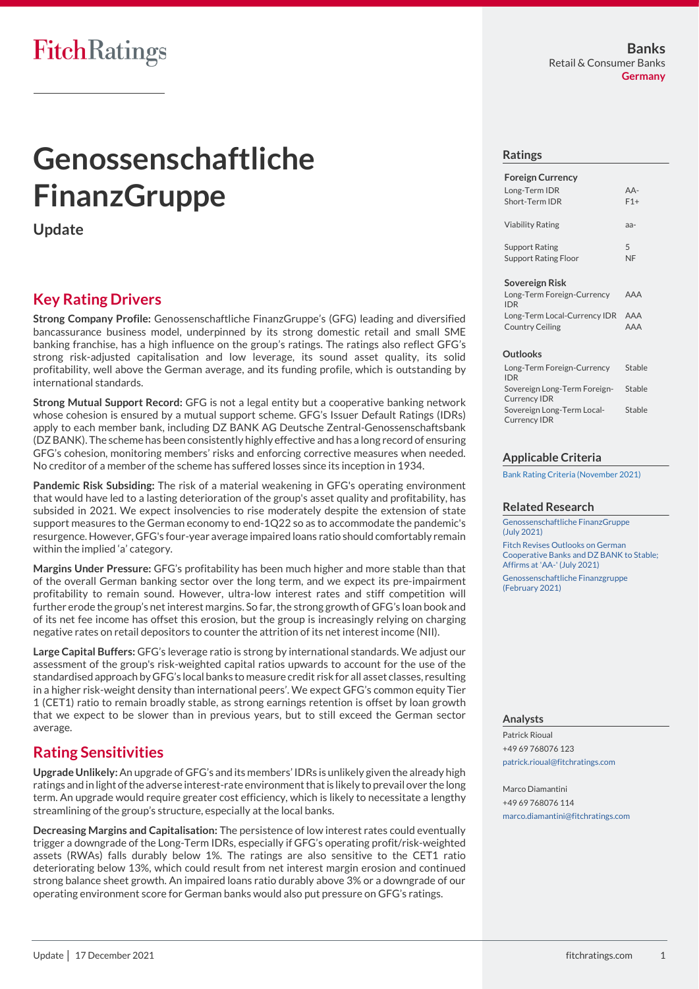# **Genossenschaftliche FinanzGruppe**

**Update**

# **Key Rating Drivers**

**Strong Company Profile:** Genossenschaftliche FinanzGruppe's (GFG) leading and diversified bancassurance business model, underpinned by its strong domestic retail and small SME banking franchise, has a high influence on the group's ratings. The ratings also reflect GFG's strong risk-adjusted capitalisation and low leverage, its sound asset quality, its solid profitability, well above the German average, and its funding profile, which is outstanding by international standards.

**Strong Mutual Support Record:** GFG is not a legal entity but a cooperative banking network whose cohesion is ensured by a mutual support scheme. GFG's Issuer Default Ratings (IDRs) apply to each member bank, including DZ BANK AG Deutsche Zentral-Genossenschaftsbank (DZ BANK). The scheme has been consistently highly effective and has a long record of ensuring GFG's cohesion, monitoring members' risks and enforcing corrective measures when needed. No creditor of a member of the scheme has suffered losses since its inception in 1934.

**Pandemic Risk Subsiding:** The risk of a material weakening in GFG's operating environment that would have led to a lasting deterioration of the group's asset quality and profitability, has subsided in 2021. We expect insolvencies to rise moderately despite the extension of state support measures to the German economy to end-1Q22 so as to accommodate the pandemic's resurgence. However, GFG's four-year average impaired loans ratio should comfortably remain within the implied 'a' category.

**Margins Under Pressure:** GFG's profitability has been much higher and more stable than that of the overall German banking sector over the long term, and we expect its pre-impairment profitability to remain sound. However, ultra-low interest rates and stiff competition will further erode the group's net interest margins. So far, the strong growth of GFG's loan book and of its net fee income has offset this erosion, but the group is increasingly relying on charging negative rates on retail depositors to counter the attrition of its net interest income (NII).

**Large Capital Buffers:** GFG's leverage ratio is strong by international standards. We adjust our assessment of the group's risk-weighted capital ratios upwards to account for the use of the standardised approach by GFG's local banks to measure credit risk for all asset classes, resulting in a higher risk-weight density than international peers'. We expect GFG's common equity Tier 1 (CET1) ratio to remain broadly stable, as strong earnings retention is offset by loan growth that we expect to be slower than in previous years, but to still exceed the German sector average.

## **Rating Sensitivities**

**Upgrade Unlikely:** An upgrade of GFG's and its members' IDRs is unlikely given the already high ratings and in light of the adverse interest-rate environment that is likely to prevail over the long term. An upgrade would require greater cost efficiency, which is likely to necessitate a lengthy streamlining of the group's structure, especially at the local banks.

**Decreasing Margins and Capitalisation:** The persistence of low interest rates could eventually trigger a downgrade of the Long-Term IDRs, especially if GFG's operating profit/risk-weighted assets (RWAs) falls durably below 1%. The ratings are also sensitive to the CET1 ratio deteriorating below 13%, which could result from net interest margin erosion and continued strong balance sheet growth. An impaired loans ratio durably above 3% or a downgrade of our operating environment score for German banks would also put pressure on GFG's ratings.

#### **Ratings**

| <b>Foreign Currency</b>     |                   |
|-----------------------------|-------------------|
| Long-Term IDR               | $\Delta \Delta$ - |
| Short-Term IDR              | $F1+$             |
| <b>Viability Rating</b>     | $A -$             |
| <b>Support Rating</b>       | 5                 |
| <b>Support Rating Floor</b> | NE                |

#### **Sovereign Risk**

| Long-Term Foreign-Currency       | AAA |
|----------------------------------|-----|
| <b>IDR</b>                       |     |
| Long-Term Local-Currency IDR AAA |     |
| <b>Country Ceiling</b>           | AAA |

#### **Outlooks**

| Long-Term Foreign-Currency<br><b>IDR</b>            | Stable |
|-----------------------------------------------------|--------|
| Sovereign Long-Term Foreign-<br><b>Currency IDR</b> | Stable |
| Sovereign Long-Term Local-<br><b>Currency IDR</b>   | Stable |

#### **Applicable Criteria**

[Bank Rating Criteria \(November 2021\)](https://app.fitchconnect.com/search/research/article/FR_RPT_10182112)

#### **Related Research**

[Genossenschaftliche](https://app.fitchconnect.com/search/research/article/RPT_10170053) FinanzGruppe [\(July 2021\)](https://app.fitchconnect.com/search/research/article/RPT_10170053)

[Fitch Revises Outlooks on German](https://app.fitchconnect.com/search/research/article/FR_PR_10168440)  Cooperative Banks [and DZ BANK to Stable;](https://app.fitchconnect.com/search/research/article/FR_PR_10168440)  [Affirms at 'AA-' \(July 2021\)](https://app.fitchconnect.com/search/research/article/FR_PR_10168440) [Genossenschaftliche Finanzgruppe](https://app.fitchconnect.com/search/research/article/RPT_10150949)  [\(February 2021\)](https://app.fitchconnect.com/search/research/article/RPT_10150949)

#### **Analysts**

Patrick Rioual +49 69 768076 123 [patrick.rioual@fitchratings.com](mailto:patrick.rioual@fitchratings.com)

Marco Diamantini +49 69 768076 114 [marco.diamantini@fitchratings.com](mailto:marco.diamantini@fitchratings.com)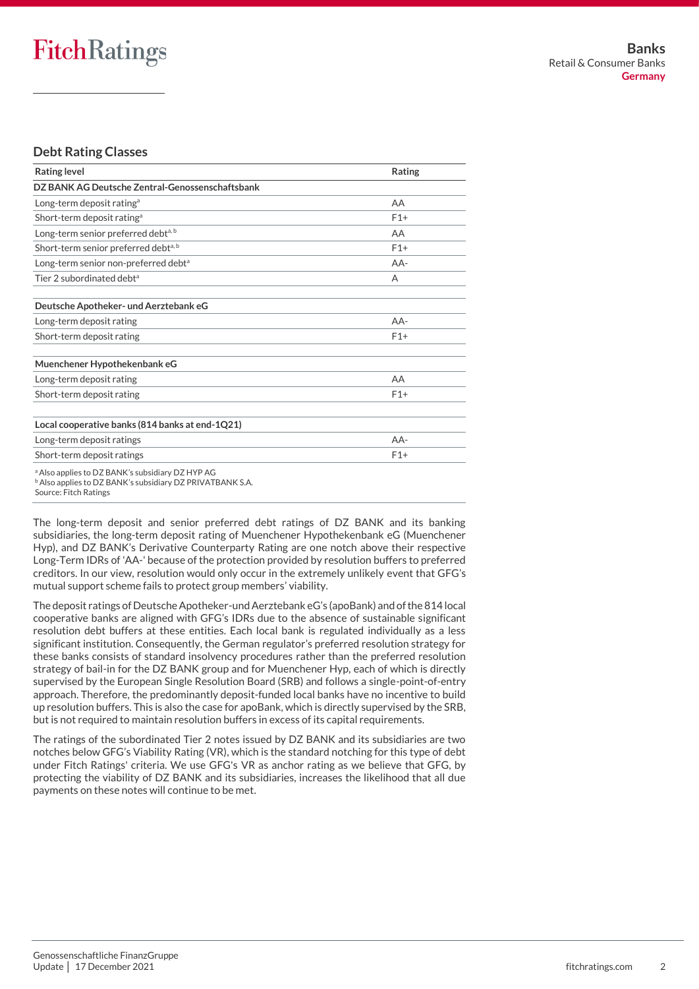#### **Debt Rating Classes**

| <b>Rating level</b>                                                                                                                                          | Rating |
|--------------------------------------------------------------------------------------------------------------------------------------------------------------|--------|
| DZ BANK AG Deutsche Zentral-Genossenschaftsbank                                                                                                              |        |
| Long-term deposit rating <sup>a</sup>                                                                                                                        | AA     |
| Short-term deposit rating <sup>a</sup>                                                                                                                       | $F1+$  |
| Long-term senior preferred debt <sup>a, b</sup>                                                                                                              | AA     |
| Short-term senior preferred debt <sup>a, b</sup>                                                                                                             | $F1+$  |
| Long-term senior non-preferred debt <sup>a</sup>                                                                                                             | $AA-$  |
| Tier 2 subordinated debt <sup>a</sup>                                                                                                                        | A      |
| Deutsche Apotheker- und Aerztebank eG                                                                                                                        |        |
| Long-term deposit rating                                                                                                                                     | $AA-$  |
| Short-term deposit rating                                                                                                                                    | $F1+$  |
| Muenchener Hypothekenbank eG                                                                                                                                 |        |
| Long-term deposit rating                                                                                                                                     | AA     |
| Short-term deposit rating                                                                                                                                    | $F1+$  |
| Local cooperative banks (814 banks at end-1Q21)                                                                                                              |        |
| Long-term deposit ratings                                                                                                                                    | $AA-$  |
| Short-term deposit ratings                                                                                                                                   | $F1+$  |
| <sup>a</sup> Also applies to DZ BANK's subsidiary DZ HYP AG<br><sup>b</sup> Also applies to DZ BANK's subsidiary DZ PRIVATBANK S.A.<br>Source: Fitch Ratings |        |

The long-term deposit and senior preferred debt ratings of DZ BANK and its banking subsidiaries, the long-term deposit rating of Muenchener Hypothekenbank eG (Muenchener Hyp), and DZ BANK's Derivative Counterparty Rating are one notch above their respective Long-Term IDRs of 'AA-' because of the protection provided by resolution buffers to preferred creditors. In our view, resolution would only occur in the extremely unlikely event that GFG's mutual support scheme fails to protect group members' viability.

The deposit ratings of Deutsche Apotheker-und Aerztebank eG's (apoBank) and of the 814 local cooperative banks are aligned with GFG's IDRs due to the absence of sustainable significant resolution debt buffers at these entities. Each local bank is regulated individually as a less significant institution. Consequently, the German regulator's preferred resolution strategy for these banks consists of standard insolvency procedures rather than the preferred resolution strategy of bail-in for the DZ BANK group and for Muenchener Hyp, each of which is directly supervised by the European Single Resolution Board (SRB) and follows a single-point-of-entry approach. Therefore, the predominantly deposit-funded local banks have no incentive to build up resolution buffers. This is also the case for apoBank, which is directly supervised by the SRB, but is not required to maintain resolution buffers in excess of its capital requirements.

The ratings of the subordinated Tier 2 notes issued by DZ BANK and its subsidiaries are two notches below GFG's Viability Rating (VR), which is the standard notching for this type of debt under Fitch Ratings' criteria. We use GFG's VR as anchor rating as we believe that GFG, by protecting the viability of DZ BANK and its subsidiaries, increases the likelihood that all due payments on these notes will continue to be met.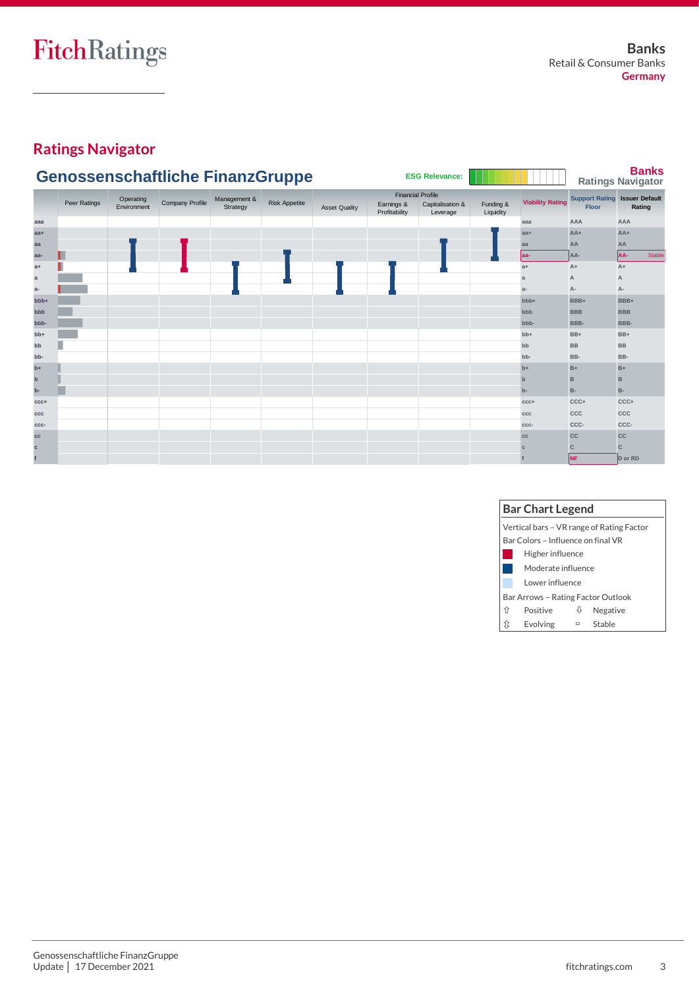# **Ratings Navigator**

|                  |              |                          | <b>Genossenschaftliche FinanzGruppe</b> |                          |                      |                      |                             | <b>ESG Relevance:</b>                                    |                        |                         |                                | <b>Banks</b><br><b>Ratings Navigator</b> |
|------------------|--------------|--------------------------|-----------------------------------------|--------------------------|----------------------|----------------------|-----------------------------|----------------------------------------------------------|------------------------|-------------------------|--------------------------------|------------------------------------------|
|                  | Peer Ratings | Operating<br>Environment | Company Profile                         | Management &<br>Strategy | <b>Risk Appetite</b> | <b>Asset Quality</b> | Earnings &<br>Profitability | <b>Financial Profile</b><br>Capitalisation &<br>Leverage | Funding &<br>Liquidity | <b>Viability Rating</b> | <b>Support Rating</b><br>Floor | <b>Issuer Default</b><br>Rating          |
| aaa              |              |                          |                                         |                          |                      |                      |                             |                                                          |                        | aaa                     | AAA                            | AAA                                      |
| $aa+$            |              |                          |                                         |                          |                      |                      |                             |                                                          |                        | $aa+$                   | $AA+$                          | $AA+$                                    |
| aa               |              |                          |                                         |                          |                      |                      |                             |                                                          |                        | aa                      | AA                             | AA                                       |
| aa-              |              |                          |                                         |                          |                      |                      |                             |                                                          |                        | aa-                     | AA-                            | AA-<br>Stable                            |
| $a+$             |              |                          |                                         |                          |                      |                      |                             |                                                          |                        | $a+$                    | $A+$                           | $A+$                                     |
| $\mathbf{a}$     |              |                          |                                         |                          |                      |                      |                             |                                                          |                        | a                       |                                | $\overline{A}$                           |
| $a-$             |              |                          |                                         |                          |                      |                      |                             |                                                          |                        | $a-$                    | А-                             | A-                                       |
| bb <sub>b+</sub> |              |                          |                                         |                          |                      |                      |                             |                                                          |                        | bb <sub>b+</sub>        | BBB+                           | BBB+                                     |
| bbb              |              |                          |                                         |                          |                      |                      |                             |                                                          |                        | bbb                     | <b>BBB</b>                     | <b>BBB</b>                               |
| bbb-             |              |                          |                                         |                          |                      |                      |                             |                                                          |                        | bbb-                    | BBB-                           | BBB-                                     |
| $bb+$            |              |                          |                                         |                          |                      |                      |                             |                                                          |                        | $bb+$                   | BB+                            | $BB+$                                    |
| bb               |              |                          |                                         |                          |                      |                      |                             |                                                          |                        | bb                      | <b>BB</b>                      | <b>BB</b>                                |
| bb-              |              |                          |                                         |                          |                      |                      |                             |                                                          |                        | bb-                     | BB-                            | BB-                                      |
| $b+$             |              |                          |                                         |                          |                      |                      |                             |                                                          |                        | $b+$                    | $B+$                           | $B+$                                     |
| $\mathbf b$      |              |                          |                                         |                          |                      |                      |                             |                                                          |                        | $\mathbf b$             | в                              | B                                        |
| $b-$             |              |                          |                                         |                          |                      |                      |                             |                                                          |                        | $b-$                    | <b>B-</b>                      | <b>B-</b>                                |
| $CCC +$          |              |                          |                                         |                          |                      |                      |                             |                                                          |                        | $CCC +$                 | CCC+                           | CCC+                                     |
| ccc              |              |                          |                                         |                          |                      |                      |                             |                                                          |                        | CCC                     | CCC                            | CCC                                      |
| CCC-             |              |                          |                                         |                          |                      |                      |                             |                                                          |                        | CCC-                    | CCC-                           | CCC-                                     |
| cc               |              |                          |                                         |                          |                      |                      |                             |                                                          |                        | cc                      | <b>CC</b>                      | CC                                       |
| $\mathbf{c}$     |              |                          |                                         |                          |                      |                      |                             |                                                          |                        |                         | C                              | $\mathbf{C}$                             |
|                  |              |                          |                                         |                          |                      |                      |                             |                                                          |                        |                         | <b>NF</b>                      | D or RD                                  |

|   | <b>Bar Chart Legend</b>                   |        |          |  |  |  |  |  |
|---|-------------------------------------------|--------|----------|--|--|--|--|--|
|   | Vertical bars - VR range of Rating Factor |        |          |  |  |  |  |  |
|   | Bar Colors - Influence on final VR        |        |          |  |  |  |  |  |
|   | Higher influence                          |        |          |  |  |  |  |  |
|   | Moderate influence                        |        |          |  |  |  |  |  |
|   | Lower influence                           |        |          |  |  |  |  |  |
|   | Bar Arrows - Rating Factor Outlook        |        |          |  |  |  |  |  |
| ⇑ | Positive                                  | Ψ      | Negative |  |  |  |  |  |
|   | Evolving                                  | $\Box$ | Stable   |  |  |  |  |  |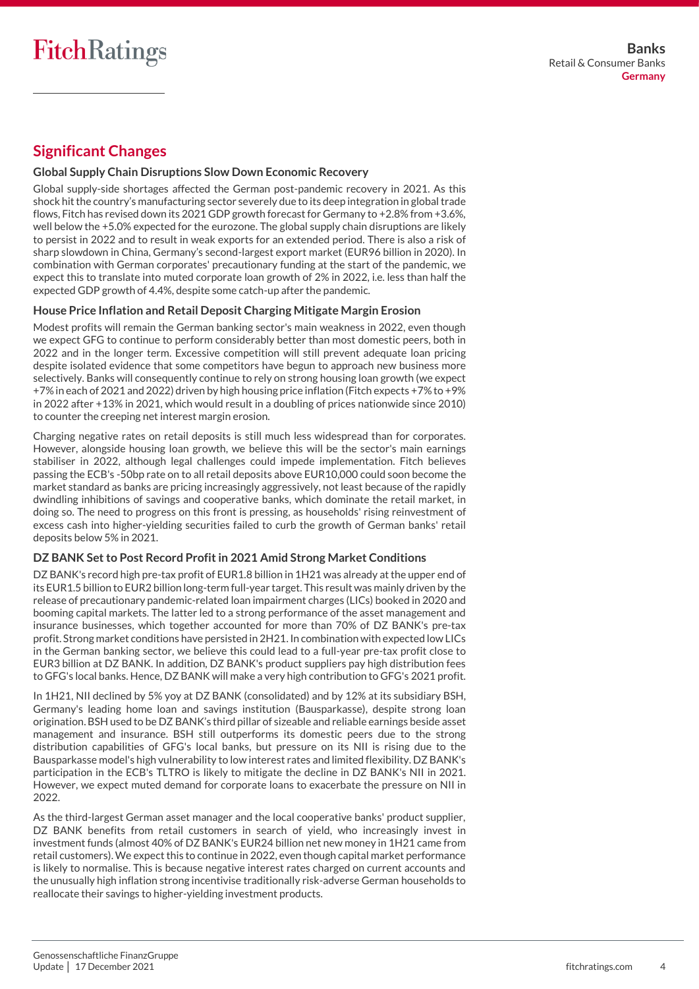# **Significant Changes**

#### **Global Supply Chain Disruptions Slow Down Economic Recovery**

Global supply-side shortages affected the German post-pandemic recovery in 2021. As this shock hitthe country's manufacturing sector severely due to its deep integration in globaltrade flows, Fitch has revised down its 2021 GDP growth forecast for Germany to +2.8% from +3.6%, well below the +5.0% expected for the eurozone. The global supply chain disruptions are likely to persist in 2022 and to result in weak exports for an extended period. There is also a risk of sharp slowdown in China, Germany's second-largest export market (EUR96 billion in 2020). In combination with German corporates' precautionary funding at the start of the pandemic, we expect this to translate into muted corporate loan growth of 2% in 2022, i.e. less than half the expected GDP growth of 4.4%, despite some catch-up after the pandemic.

#### **House Price Inflation and Retail Deposit Charging Mitigate Margin Erosion**

Modest profits will remain the German banking sector's main weakness in 2022, even though we expect GFG to continue to perform considerably better than most domestic peers, both in 2022 and in the longer term. Excessive competition will still prevent adequate loan pricing despite isolated evidence that some competitors have begun to approach new business more selectively. Banks will consequently continue to rely on strong housing loan growth (we expect +7% in each of 2021 and 2022) driven by high housing price inflation (Fitch expects +7% to +9% in 2022 after +13% in 2021, which would result in a doubling of prices nationwide since 2010) to counter the creeping net interest margin erosion.

Charging negative rates on retail deposits is still much less widespread than for corporates. However, alongside housing loan growth, we believe this will be the sector's main earnings stabiliser in 2022, although legal challenges could impede implementation. Fitch believes passing the ECB's -50bp rate on to all retail deposits above EUR10,000 could soon become the market standard as banks are pricing increasingly aggressively, not least because of the rapidly dwindling inhibitions of savings and cooperative banks, which dominate the retail market, in doing so. The need to progress on this front is pressing, as households' rising reinvestment of excess cash into higher-yielding securities failed to curb the growth of German banks' retail deposits below 5% in 2021.

#### **DZ BANK Set to Post Record Profit in 2021 Amid Strong Market Conditions**

DZ BANK's record high pre-tax profit of EUR1.8 billion in 1H21 was already at the upper end of its EUR1.5 billion to EUR2 billion long-term full-year target. This result was mainly driven by the release of precautionary pandemic-related loan impairment charges (LICs) booked in 2020 and booming capital markets. The latter led to a strong performance of the asset management and insurance businesses, which together accounted for more than 70% of DZ BANK's pre-tax profit. Strong market conditions have persisted in 2H21. In combination with expected low LICs in the German banking sector, we believe this could lead to a full-year pre-tax profit close to EUR3 billion at DZ BANK. In addition, DZ BANK's product suppliers pay high distribution fees to GFG's local banks. Hence, DZ BANK will make a very high contribution to GFG's 2021 profit.

In 1H21, NII declined by 5% yoy at DZ BANK (consolidated) and by 12% at its subsidiary BSH, Germany's leading home loan and savings institution (Bausparkasse), despite strong loan origination. BSH used to be DZ BANK's third pillar of sizeable and reliable earnings beside asset management and insurance. BSH still outperforms its domestic peers due to the strong distribution capabilities of GFG's local banks, but pressure on its NII is rising due to the Bausparkasse model's high vulnerability to low interest rates and limited flexibility. DZ BANK's participation in the ECB's TLTRO is likely to mitigate the decline in DZ BANK's NII in 2021. However, we expect muted demand for corporate loans to exacerbate the pressure on NII in 2022.

As the third-largest German asset manager and the local cooperative banks' product supplier, DZ BANK benefits from retail customers in search of yield, who increasingly invest in investment funds (almost 40% of DZ BANK's EUR24 billion net new money in 1H21 came from retail customers). We expect this to continue in 2022, even though capital market performance is likely to normalise. This is because negative interest rates charged on current accounts and the unusually high inflation strong incentivise traditionally risk-adverse German households to reallocate their savings to higher-yielding investment products.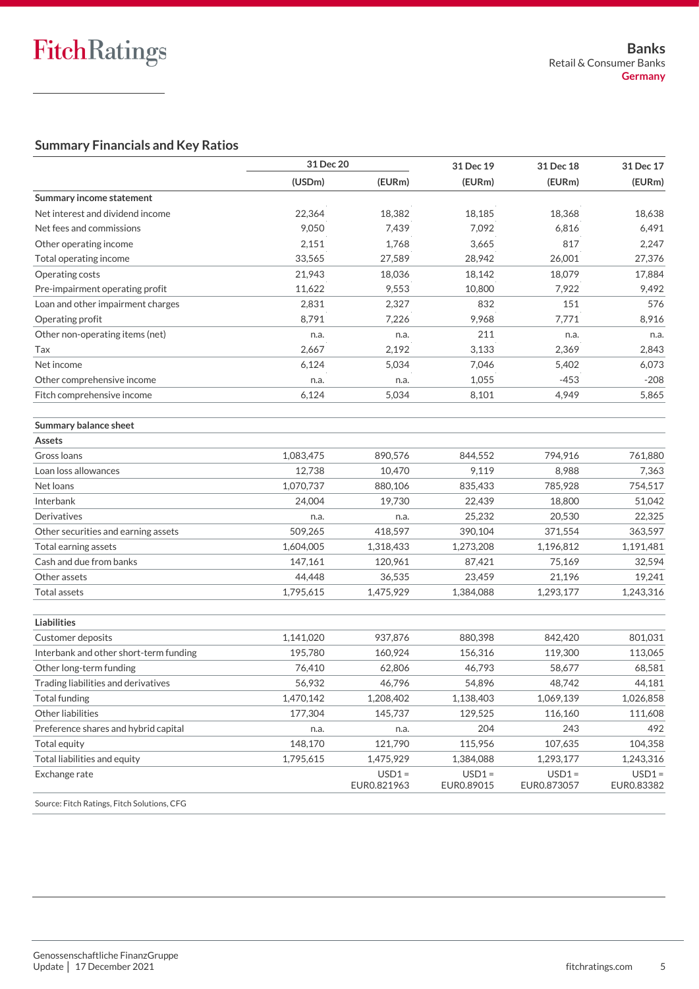## **Summary Financials and Key Ratios**

|                                             | 31 Dec 20 |                         | 31 Dec 19              | 31 Dec 18               | 31 Dec 17              |
|---------------------------------------------|-----------|-------------------------|------------------------|-------------------------|------------------------|
|                                             | (USDm)    | (EURm)                  | (EURm)                 | (EURm)                  | (EURm)                 |
| Summary income statement                    |           |                         |                        |                         |                        |
| Net interest and dividend income            | 22,364    | 18,382                  | 18,185                 | 18,368                  | 18,638                 |
| Net fees and commissions                    | 9,050     | 7,439                   | 7,092                  | 6,816                   | 6,491                  |
| Other operating income                      | 2,151     | 1,768                   | 3,665                  | 817                     | 2,247                  |
| Total operating income                      | 33,565    | 27,589                  | 28,942                 | 26,001                  | 27,376                 |
| Operating costs                             | 21,943    | 18,036                  | 18,142                 | 18,079                  | 17,884                 |
| Pre-impairment operating profit             | 11,622    | 9,553                   | 10,800                 | 7,922                   | 9,492                  |
| Loan and other impairment charges           | 2,831     | 2,327                   | 832                    | 151                     | 576                    |
| Operating profit                            | 8,791     | 7,226                   | 9,968                  | 7,771                   | 8,916                  |
| Other non-operating items (net)             | n.a.      | n.a.                    | 211                    | n.a.                    | n.a.                   |
| Tax                                         | 2,667     | 2,192                   | 3,133                  | 2,369                   | 2,843                  |
| Net income                                  | 6,124     | 5,034                   | 7,046                  | 5,402                   | 6,073                  |
| Other comprehensive income                  | n.a.      | n.a.                    | 1,055                  | $-453$                  | $-208$                 |
| Fitch comprehensive income                  | 6,124     | 5,034                   | 8,101                  | 4,949                   | 5,865                  |
| Summary balance sheet                       |           |                         |                        |                         |                        |
| Assets                                      |           |                         |                        |                         |                        |
| Gross Ioans                                 | 1,083,475 | 890,576                 | 844,552                | 794,916                 | 761,880                |
| Loan loss allowances                        | 12,738    | 10,470                  | 9,119                  | 8,988                   | 7,363                  |
| Net loans                                   | 1,070,737 | 880,106                 | 835,433                | 785,928                 | 754,517                |
| Interbank                                   | 24,004    | 19,730                  | 22,439                 | 18,800                  | 51,042                 |
| Derivatives                                 | n.a.      | n.a.                    | 25,232                 | 20,530                  | 22,325                 |
| Other securities and earning assets         | 509,265   | 418,597                 | 390,104                | 371,554                 | 363,597                |
| Total earning assets                        | 1,604,005 | 1,318,433               | 1,273,208              | 1,196,812               | 1,191,481              |
| Cash and due from banks                     | 147,161   | 120,961                 | 87,421                 | 75,169                  | 32,594                 |
| Other assets                                | 44,448    | 36,535                  | 23,459                 | 21,196                  | 19,241                 |
| <b>Total assets</b>                         | 1,795,615 | 1,475,929               | 1,384,088              | 1,293,177               | 1,243,316              |
| Liabilities                                 |           |                         |                        |                         |                        |
| Customer deposits                           | 1,141,020 | 937,876                 | 880,398                | 842,420                 | 801,031                |
| Interbank and other short-term funding      | 195,780   | 160,924                 | 156,316                | 119,300                 | 113,065                |
| Other long-term funding                     | 76,410    | 62,806                  | 46,793                 | 58,677                  | 68,581                 |
| Trading liabilities and derivatives         | 56,932    | 46,796                  | 54,896                 | 48,742                  | 44,181                 |
| Total funding                               | 1,470,142 | 1,208,402               | 1,138,403              | 1,069,139               | 1,026,858              |
| Other liabilities                           | 177,304   | 145,737                 | 129,525                | 116,160                 | 111,608                |
| Preference shares and hybrid capital        | n.a.      | n.a.                    | 204                    | 243                     | 492                    |
| Total equity                                | 148,170   | 121,790                 | 115,956                | 107,635                 | 104,358                |
| Total liabilities and equity                | 1,795,615 | 1,475,929               | 1,384,088              | 1,293,177               | 1,243,316              |
| Exchange rate                               |           | $USD1 =$<br>EUR0.821963 | $USD1 =$<br>EUR0.89015 | $USD1 =$<br>EUR0.873057 | $USD1 =$<br>EUR0.83382 |
| Source: Fitch Ratings, Fitch Solutions, CFG |           |                         |                        |                         |                        |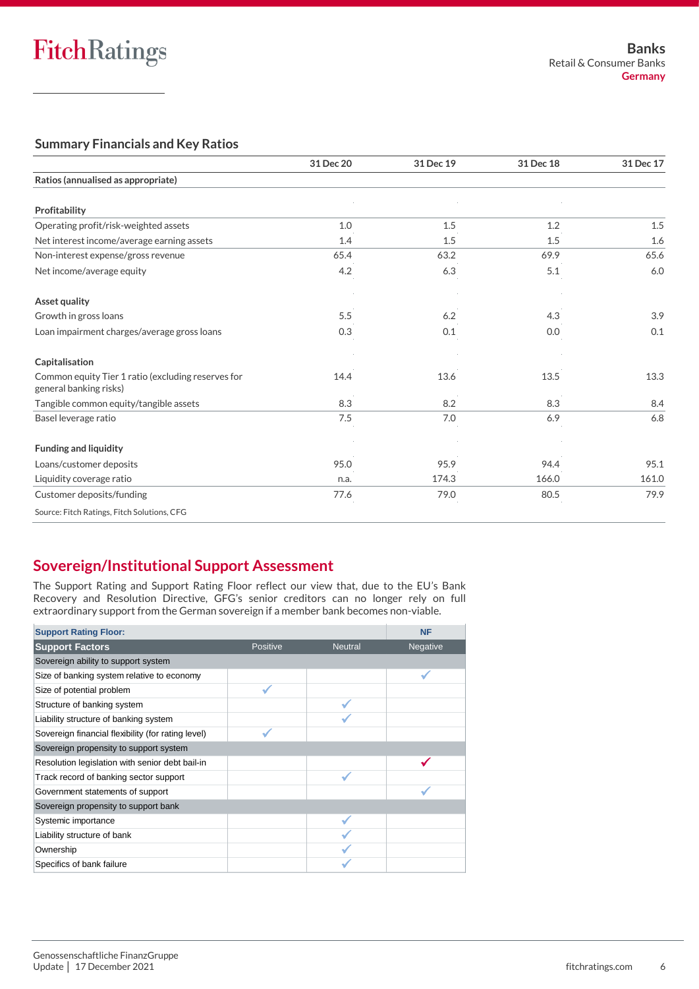### **Summary Financials and Key Ratios**

|                                                                              | 31 Dec 20 | 31 Dec 19 | 31 Dec 18 | 31 Dec 17 |
|------------------------------------------------------------------------------|-----------|-----------|-----------|-----------|
| Ratios (annualised as appropriate)                                           |           |           |           |           |
| Profitability                                                                |           |           |           |           |
| Operating profit/risk-weighted assets                                        | 1.0       | 1.5       | 1.2       | 1.5       |
| Net interest income/average earning assets                                   | 1.4       | 1.5       | 1.5       | 1.6       |
| Non-interest expense/gross revenue                                           | 65.4      | 63.2      | 69.9      | 65.6      |
| Net income/average equity                                                    | 4.2       | 6.3       | 5.1       | 6.0       |
| <b>Asset quality</b>                                                         |           |           |           |           |
| Growth in gross loans                                                        | 5.5       | 6.2       | 4.3       | 3.9       |
| Loan impairment charges/average gross loans                                  | 0.3       | 0.1       | 0.0       | 0.1       |
| Capitalisation                                                               |           |           |           |           |
| Common equity Tier 1 ratio (excluding reserves for<br>general banking risks) | 14.4      | 13.6      | 13.5      | 13.3      |
| Tangible common equity/tangible assets                                       | 8.3       | 8.2       | 8.3       | 8.4       |
| Basel leverage ratio                                                         | 7.5       | 7.0       | 6.9       | 6.8       |
| <b>Funding and liquidity</b>                                                 |           |           |           |           |
| Loans/customer deposits                                                      | 95.0      | 95.9      | 94.4      | 95.1      |
| Liquidity coverage ratio                                                     | n.a.      | 174.3     | 166.0     | 161.0     |
| Customer deposits/funding                                                    | 77.6      | 79.0      | 80.5      | 79.9      |
| Source: Fitch Ratings, Fitch Solutions, CFG                                  |           |           |           |           |

# **Sovereign/Institutional Support Assessment**

The Support Rating and Support Rating Floor reflect our view that, due to the EU's Bank Recovery and Resolution Directive, GFG's senior creditors can no longer rely on full extraordinary support from the German sovereign if a member bank becomes non-viable.<br>'

| <b>Support Rating Floor:</b>                       |          |                | <b>NF</b> |
|----------------------------------------------------|----------|----------------|-----------|
| <b>Support Factors</b>                             | Positive | <b>Neutral</b> | Negative  |
| Sovereign ability to support system                |          |                |           |
| Size of banking system relative to economy         |          |                |           |
| Size of potential problem                          |          |                |           |
| Structure of banking system                        |          |                |           |
| Liability structure of banking system              |          |                |           |
| Sovereign financial flexibility (for rating level) |          |                |           |
| Sovereign propensity to support system             |          |                |           |
| Resolution legislation with senior debt bail-in    |          |                |           |
| Track record of banking sector support             |          |                |           |
| Government statements of support                   |          |                |           |
| Sovereign propensity to support bank               |          |                |           |
| Systemic importance                                |          |                |           |
| Liability structure of bank                        |          |                |           |
| Ownership                                          |          |                |           |
| Specifics of bank failure                          |          |                |           |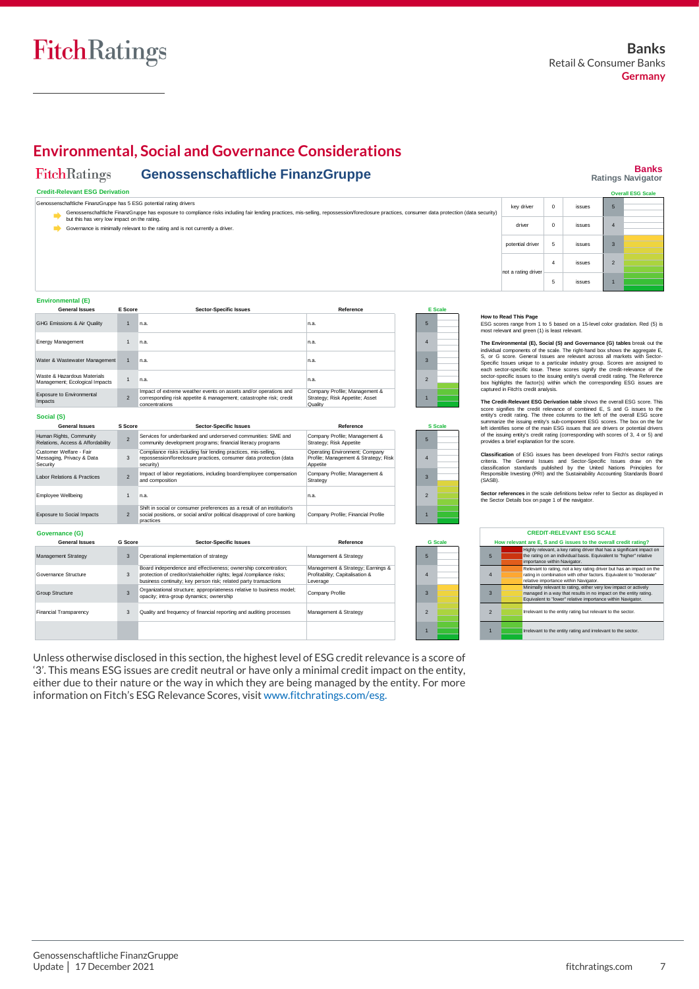**Banks Ratings Navigator**

2 1 **DESG S** 

# **Environmental, Social and Governance Considerations**

#### FitchRatings **Genossenschaftliche FinanzGruppe**

#### **Credit-Relevant ESG Derivation**

Genossenschaftliche FinanzGruppe has 5 ESG potential rating drivers Senossenschaftliche FinanzGruppe has exposure to compilance risks including fair lending practices, mis-selling, repossession/foreclosure practices, consumer data protection (data security)<br>but this has very low impact on key driver 0 issues driver 0 issues potential driver 5 issues Governance is minimally relevant to the rating and is not currently a driver. 5 4 3

| <b>Environmental (E)</b>                                         |                |                                                                                                                                                                                                           |                                                                                    |                          |
|------------------------------------------------------------------|----------------|-----------------------------------------------------------------------------------------------------------------------------------------------------------------------------------------------------------|------------------------------------------------------------------------------------|--------------------------|
| <b>General Issues</b>                                            | E Score        | <b>Sector-Specific Issues</b>                                                                                                                                                                             | Reference                                                                          | <b>E</b> Scale           |
| GHG Emissions & Air Quality                                      | $\overline{1}$ | n.a.                                                                                                                                                                                                      | n.a.                                                                               | 5                        |
| <b>Energy Management</b>                                         | $\mathbf{1}$   | n.a.                                                                                                                                                                                                      | n.a.                                                                               | $\overline{4}$           |
| Water & Wastewater Management                                    | $\mathbf{1}$   | n.a.                                                                                                                                                                                                      | n.a.                                                                               | 3                        |
| Waste & Hazardous Materials<br>Management: Ecological Impacts    | $\mathbf{1}$   | n.a.                                                                                                                                                                                                      | n.a.                                                                               | $\mathfrak{p}$           |
| Exposure to Environmental<br>Impacts                             | $\mathfrak{p}$ | Impact of extreme weather events on assets and/or operations and<br>corresponding risk appetite & management; catastrophe risk; credit<br>concentrations                                                  | Company Profile; Management &<br>Strategy; Risk Appetite; Asset<br>Quality         | $\overline{1}$           |
| Social (S)<br><b>General Issues</b>                              | S Score        | <b>Sector-Specific Issues</b>                                                                                                                                                                             | Reference                                                                          | <b>S</b> Scale           |
| Human Rights, Community<br>Relations, Access & Affordability     | $\mathfrak{p}$ | Services for underbanked and underserved communities: SME and<br>community development programs; financial literacy programs                                                                              | Company Profile; Management &<br>Strategy; Risk Appetite                           | 5                        |
| Customer Welfare - Fair<br>Messaging, Privacy & Data<br>Security | 3              | Compliance risks including fair lending practices, mis-selling,<br>repossession/foreclosure practices, consumer data protection (data<br>security)                                                        | Operating Environment; Company<br>Profile; Management & Strategy; Risk<br>Appetite | $\overline{4}$           |
| Labor Relations & Practices                                      | $\mathfrak{p}$ | Impact of labor negotiations, including board/employee compensation<br>and composition                                                                                                                    | Company Profile; Management &<br>Strategy                                          | $\overline{3}$           |
| <b>Employee Wellbeing</b>                                        | $\mathbf{1}$   | n.a.                                                                                                                                                                                                      | n.a.                                                                               | $\overline{\phantom{0}}$ |
| <b>Exposure to Social Impacts</b>                                | $\overline{2}$ | Shift in social or consumer preferences as a result of an institution's<br>social positions, or social and/or political disapproval of core banking<br>practices                                          | Company Profile; Financial Profile                                                 | $\overline{1}$           |
| Governance (G)                                                   |                |                                                                                                                                                                                                           |                                                                                    |                          |
| <b>General Issues</b>                                            | <b>G</b> Score | <b>Sector-Specific Issues</b>                                                                                                                                                                             | Reference                                                                          | <b>G</b> Scale           |
| Management Strategy                                              | 3              | Operational implementation of strategy                                                                                                                                                                    | Management & Strategy                                                              | 5                        |
| Governance Structure                                             | 3              | Board independence and effectiveness; ownership concentration;<br>protection of creditor/stakeholder rights; legal /compliance risks;<br>business continuity; key person risk; related party transactions | Management & Strategy; Earnings &<br>Profitability; Capitalisation &<br>Leverage   | $\overline{4}$           |
| <b>Group Structure</b>                                           | 3              | Organizational structure; appropriateness relative to business model;<br>opacity; intra-group dynamics; ownership                                                                                         | Company Profile                                                                    | 3                        |
| <b>Financial Transparency</b>                                    | 3              | Quality and frequency of financial reporting and auditing processes                                                                                                                                       | Management & Strategy                                                              | $\overline{\phantom{0}}$ |
|                                                                  |                |                                                                                                                                                                                                           |                                                                                    |                          |

Unless otherwise disclosed in this section, the highest level of ESG credit relevance is a score of '3'. This means ESG issues are credit neutral or have only a minimal credit impact on the entity, either due to their nature or the way in which they are being managed by the entity. For more information on Fitch's ESG Relevance Scores, visit [www.fitchratings.com/esg.](http://www.fitchratings.com/esg)

# **How to Read This Page** From 1 to 7 the Tauranties range from 1 to 5 based on a 15-level color gradation. Red (5) is most relevant and green (1) is least relevant.

not a rating drive

**The Environmental (E), Social (S) and Governance (G) tables** break out the individual components of the scale. The right-hand box shows the aggregate E, S, or G score. General Issues are relevant across all markets with Sector-**How to Read This Page**<br>
ESG scores range from 1 to 5 based on a 15-level color gradation. Red (5) is<br>
most relevant and green (1) is least relevant.<br> **The Environmental (E), Social (S) and Governance (G) tables** break out How to Read This Page<br>ESG scores range from 1 to 5 based on a 15-level color gradation. Red (5) is<br>most relevant and green (1) is least relevant.<br>The Environmental (E), Social (S) and Governance (G) tables break out the<br>ch The Environmental (E), Social (S) and Governance (G) tables break out the credit relevant of the scale. The right-hand box shows the agengate E, S, or G sore. General Issues are relevant across all markets with Sector-spec

4 issues 5 issues

**The Credit-Relevant ESG Derivation table** shows the overall ESG score. This summarize the issuing entity's sub-component ESG scores. The box on the far<br>left identifies some of the main ESG issues that are drivers or potential drivers<br>of the issuing entity's credit rating (corresponding with scores

**Classification** of ESG issues has been developed from Fitch's sector ratings criteria. The General Issues and Sector-Specific Issues charged classification standards published by the United Nations Principles for Generali left identifies some of the main ESG issues that are drivers or potential drivers<br>of the issuing entity's credit rating (corresponding with scores of 3, 4 or 5) and<br>provides a brief explanation for the score.<br>**Classificati** 

Sector references in the scale definitions below refer to Sector as displayed in the Sector Details box on page 1 of the navigator.

| <b>CREDIT-RELEVANT ESG SCALE</b>                                 |  |                                                                                                                                                                                                     |  |  |  |  |  |
|------------------------------------------------------------------|--|-----------------------------------------------------------------------------------------------------------------------------------------------------------------------------------------------------|--|--|--|--|--|
| How relevant are E, S and G issues to the overall credit rating? |  |                                                                                                                                                                                                     |  |  |  |  |  |
| $5\overline{5}$                                                  |  | Highly relevant, a key rating driver that has a significant impact on<br>the rating on an individual basis. Equivalent to "higher" relative<br>importance within Navigator.                         |  |  |  |  |  |
| 4                                                                |  | Relevant to rating, not a key rating driver but has an impact on the<br>rating in combination with other factors. Equivalent to "moderate"<br>relative importance within Navigator.                 |  |  |  |  |  |
| $\mathbf{3}$                                                     |  | Minimally relevant to rating, either very low impact or actively<br>managed in a way that results in no impact on the entity rating.<br>Equivalent to "lower" relative importance within Navigator. |  |  |  |  |  |
| $\overline{\mathcal{L}}$                                         |  | Irrelevant to the entity rating but relevant to the sector.                                                                                                                                         |  |  |  |  |  |
|                                                                  |  | Irrelevant to the entity rating and irrelevant to the sector.                                                                                                                                       |  |  |  |  |  |